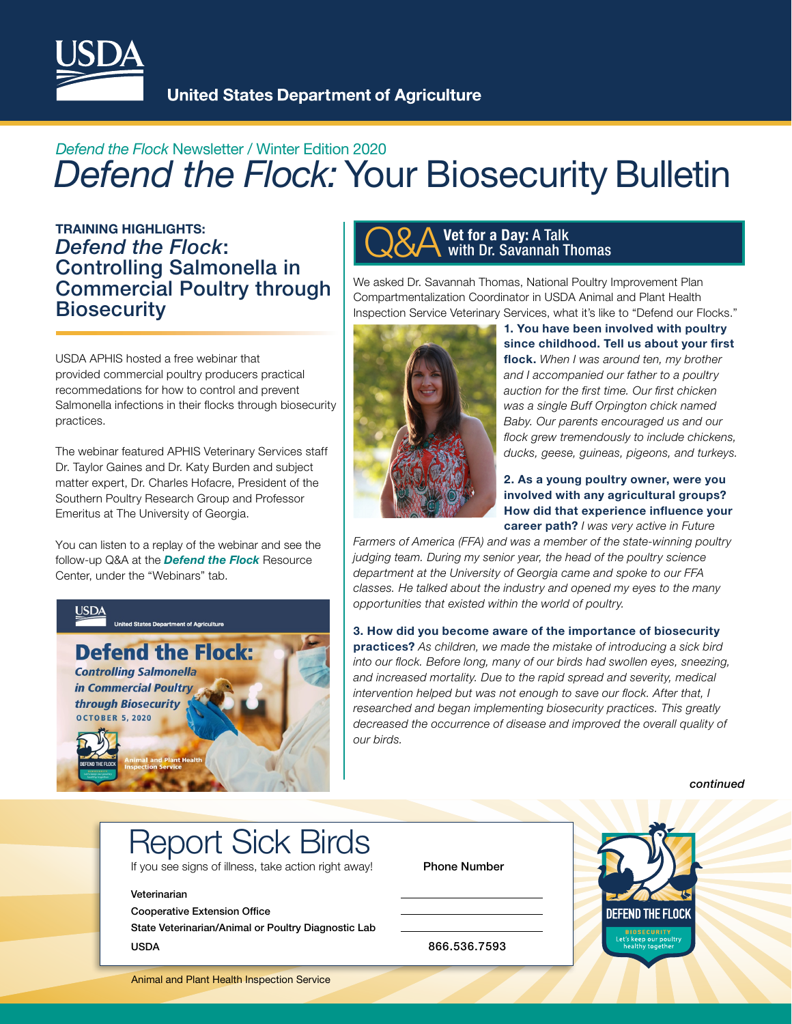

## *Defend the Flock* Newsletter / Winter Edition 2020 *Defend the Flock:* Your Biosecurity Bulletin

 *Defend the Flock*: **Biosecurity** TRAINING HIGHLIGHTS: Controlling Salmonella in Commercial Poultry through

USDA APHIS hosted a free webinar that provided commercial poultry producers practical recommedations for how to control and prevent Salmonella infections in their flocks through biosecurity practices.

The webinar featured APHIS Veterinary Services staff Dr. Taylor Gaines and Dr. Katy Burden and subject matter expert, Dr. Charles Hofacre, President of the Southern Poultry Research Group and Professor Emeritus at The University of Georgia.

You can listen to a replay of the webinar and see the follow-up Q&A at the *[Defend the Flock](www.bit.ly/DefendtheFlock-Resources)* Resource Center, under the "Webinars" tab.



### Vet for a Day: A Talk with Dr. Savannah Thomas

We asked Dr. Savannah Thomas, National Poultry Improvement Plan Compartmentalization Coordinator in USDA Animal and Plant Health Inspection Service Veterinary Services, what it's like to "Defend our Flocks."



1. You have been involved with poultry since childhood. Tell us about your first flock. When I was around ten, my brother *and I accompanied our father to a poultry auction for the frst time. Our frst chicken was a single Buff Orpington chick named Baby. Our parents encouraged us and our fock grew tremendously to include chickens, ducks, geese, guineas, pigeons, and turkeys.*

### 2. As a young poultry owner, were you involved with any agricultural groups? How did that experience infuence your career path? *I was very active in Future*

*Farmers of America (FFA) and was a member of the state-winning poultry judging team. During my senior year, the head of the poultry science department at the University of Georgia came and spoke to our FFA classes. He talked about the industry and opened my eyes to the many opportunities that existed within the world of poultry.* 

3. How did you become aware of the importance of biosecurity practices? *As children, we made the mistake of introducing a sick bird into our fock. Before long, many of our birds had swollen eyes, sneezing, and increased mortality. Due to the rapid spread and severity, medical intervention helped but was not enough to save our fock. After that, I researched and began implementing biosecurity practices. This greatly decreased the occurrence of disease and improved the overall quality of our birds.*

 *continued* 

# Report Sick Birds

If you see signs of illness, take action right away! Phone Number

#### Veterinarian

Cooperative Extension Office

State Veterinarian/Animal or Poultry Diagnostic Lab USDA 866.536.7593



Animal and Plant Health Inspection Service